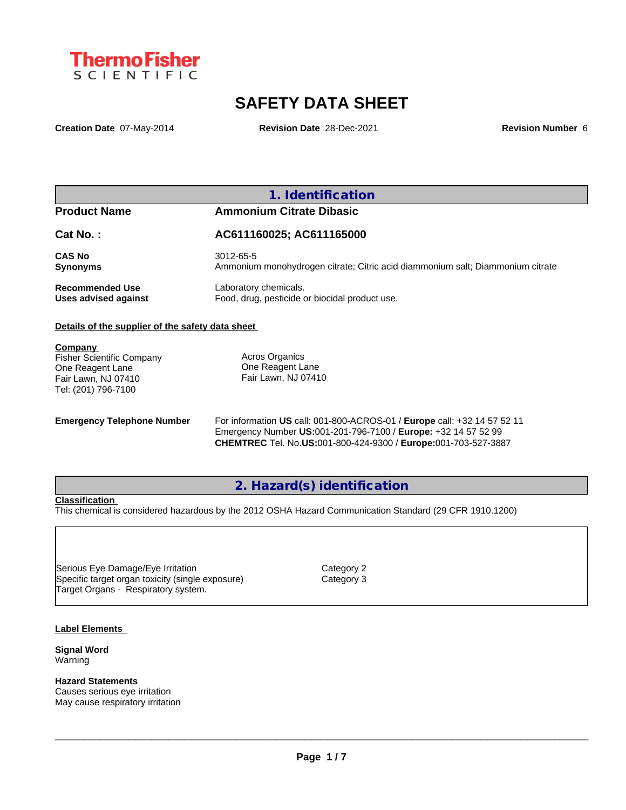

# **SAFETY DATA SHEET**

**Creation Date** 07-May-2014 **Revision Date** 28-Dec-2021 **Revision Number** 6

## **1. Identification**

# **Product Name Ammonium Citrate Dibasic**

**Cat No. : AC611160025; AC611165000**

**CAS No** 3012-65-5 **Synonyms Ammonium monohydrogen citrate; Citric acid diammonium salt; Diammonium citrate** 

**Recommended Use** Laboratory chemicals.<br> **Uses advised against** Food, drug, pesticide of Food, drug, pesticide or biocidal product use.

### **Details of the supplier of the safety data sheet**

**Company** 

Fisher Scientific Company One Reagent Lane Fair Lawn, NJ 07410 Tel: (201) 796-7100

Acros Organics One Reagent Lane Fair Lawn, NJ 07410

**Emergency Telephone Number** For information **US** call: 001-800-ACROS-01 / **Europe** call: +32 14 57 52 11 Emergency Number **US:**001-201-796-7100 / **Europe:** +32 14 57 52 99 **CHEMTREC** Tel. No.**US:**001-800-424-9300 / **Europe:**001-703-527-3887

# **2. Hazard(s) identification**

### **Classification**

This chemical is considered hazardous by the 2012 OSHA Hazard Communication Standard (29 CFR 1910.1200)

Serious Eye Damage/Eye Irritation<br>
Specific target organ toxicity (single exposure) Category 3 Specific target organ toxicity (single exposure) Target Organs - Respiratory system.

### **Label Elements**

**Signal Word** Warning

**Hazard Statements** Causes serious eye irritation May cause respiratory irritation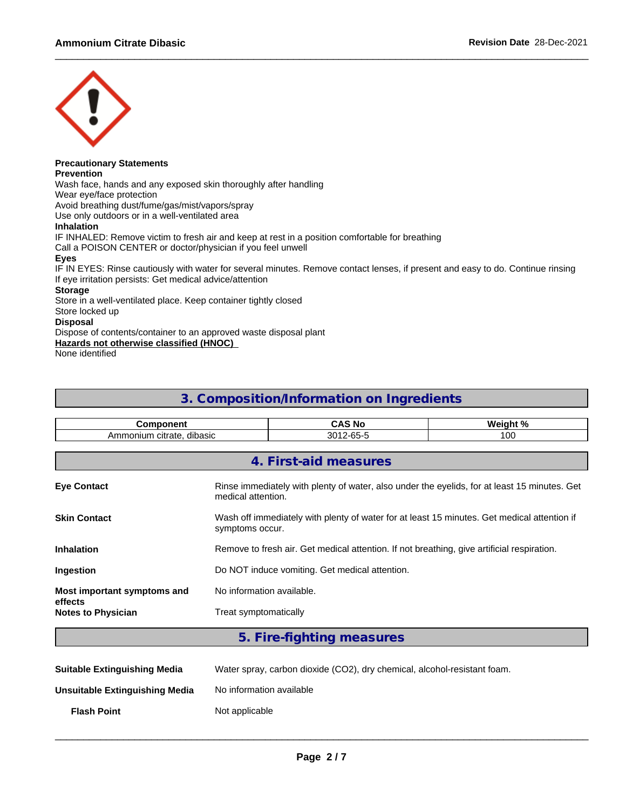

# **Precautionary Statements**

**Prevention**

Wash face, hands and any exposed skin thoroughly after handling

Wear eye/face protection

Avoid breathing dust/fume/gas/mist/vapors/spray

Use only outdoors or in a well-ventilated area

### **Inhalation**

IF INHALED: Remove victim to fresh air and keep at rest in a position comfortable for breathing

Call a POISON CENTER or doctor/physician if you feel unwell

### **Eyes**

IF IN EYES: Rinse cautiously with water for several minutes. Remove contact lenses, if present and easy to do. Continue rinsing If eye irritation persists: Get medical advice/attention

### **Storage**

Store in a well-ventilated place. Keep container tightly closed

Store locked up

### **Disposal**

Dispose of contents/container to an approved waste disposal plant

**Hazards not otherwise classified (HNOC)**

None identified

# **3. Composition/Information on Ingredients**

| nonent<br>.                               | . .                        | W۵<br>1. O J<br>----- |  |
|-------------------------------------------|----------------------------|-----------------------|--|
| <br>dibasic<br>.nonium<br>citrate.<br>Amr | $\sim$ $-$<br>ົ<br>ບບ<br>ິ | $\sim$<br>u           |  |

|                                      | 4. First-aid measures                                                                                              |
|--------------------------------------|--------------------------------------------------------------------------------------------------------------------|
| <b>Eye Contact</b>                   | Rinse immediately with plenty of water, also under the eyelids, for at least 15 minutes. Get<br>medical attention. |
| <b>Skin Contact</b>                  | Wash off immediately with plenty of water for at least 15 minutes. Get medical attention if<br>symptoms occur.     |
| <b>Inhalation</b>                    | Remove to fresh air. Get medical attention. If not breathing, give artificial respiration.                         |
| Ingestion                            | Do NOT induce vomiting. Get medical attention.                                                                     |
| Most important symptoms and          | No information available.                                                                                          |
| effects<br><b>Notes to Physician</b> | Treat symptomatically                                                                                              |
|                                      |                                                                                                                    |

# **5. Fire-fighting measures**

| <b>Suitable Extinguishing Media</b> | Water spray, carbon dioxide (CO2), dry chemical, alcohol-resistant foam. |
|-------------------------------------|--------------------------------------------------------------------------|
| Unsuitable Extinguishing Media      | No information available                                                 |
| <b>Flash Point</b>                  | Not applicable                                                           |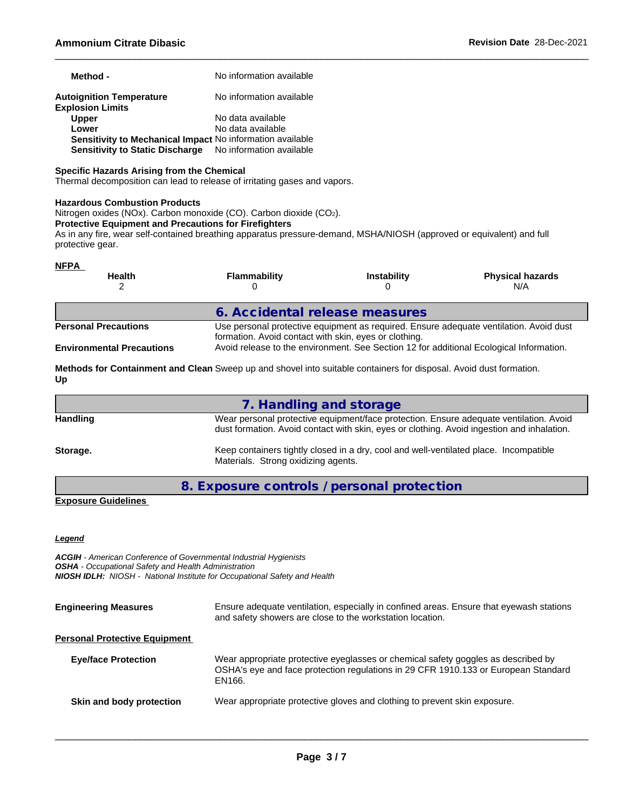| Method -                                                         | No information available |
|------------------------------------------------------------------|--------------------------|
| <b>Autoignition Temperature</b><br><b>Explosion Limits</b>       | No information available |
| <b>Upper</b>                                                     | No data available        |
| Lower                                                            | No data available        |
| <b>Sensitivity to Mechanical Impact No information available</b> |                          |
| Sensitivity to Static Discharge No information available         |                          |

### **Specific Hazards Arising from the Chemical**

Thermal decomposition can lead to release of irritating gases and vapors.

### **Hazardous Combustion Products**

Nitrogen oxides (NOx). Carbon monoxide (CO). Carbon dioxide (CO2).

### **Protective Equipment and Precautions for Firefighters**

As in any fire, wear self-contained breathing apparatus pressure-demand, MSHA/NIOSH (approved or equivalent) and full protective gear.

|                                  | <b>Flammability</b>                                   | <b>Instability</b>                                                                      | <b>Physical hazards</b><br>N/A                                                         |
|----------------------------------|-------------------------------------------------------|-----------------------------------------------------------------------------------------|----------------------------------------------------------------------------------------|
|                                  | 6. Accidental release measures                        |                                                                                         |                                                                                        |
| <b>Personal Precautions</b>      | formation. Avoid contact with skin, eyes or clothing. |                                                                                         | Use personal protective equipment as required. Ensure adequate ventilation. Avoid dust |
| <b>Environmental Precautions</b> |                                                       | Avoid release to the environment. See Section 12 for additional Ecological Information. |                                                                                        |

|          | 7. Handling and storage                                                                                                                                                              |
|----------|--------------------------------------------------------------------------------------------------------------------------------------------------------------------------------------|
| Handling | Wear personal protective equipment/face protection. Ensure adequate ventilation. Avoid<br>dust formation. Avoid contact with skin, eyes or clothing. Avoid ingestion and inhalation. |
| Storage. | Keep containers tightly closed in a dry, cool and well-ventilated place. Incompatible<br>Materials. Strong oxidizing agents.                                                         |

**8. Exposure controls / personal protection**

### **Exposure Guidelines**

### *Legend*

*ACGIH - American Conference of Governmental Industrial Hygienists OSHA - Occupational Safety and Health Administration NIOSH IDLH: NIOSH - National Institute for Occupational Safety and Health*

| <b>Engineering Measures</b>          | Ensure adequate ventilation, especially in confined areas. Ensure that eyewash stations<br>and safety showers are close to the workstation location.                              |
|--------------------------------------|-----------------------------------------------------------------------------------------------------------------------------------------------------------------------------------|
| <b>Personal Protective Equipment</b> |                                                                                                                                                                                   |
| <b>Eye/face Protection</b>           | Wear appropriate protective eyeglasses or chemical safety goggles as described by<br>OSHA's eye and face protection regulations in 29 CFR 1910.133 or European Standard<br>EN166. |
| Skin and body protection             | Wear appropriate protective gloves and clothing to prevent skin exposure.                                                                                                         |
|                                      |                                                                                                                                                                                   |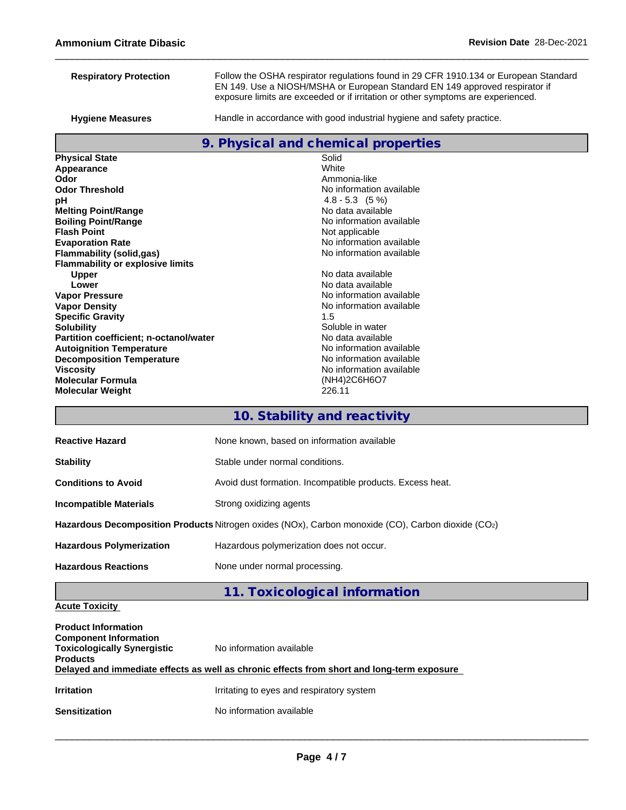| <b>Respiratory Protection</b>                                                                      | Follow the OSHA respirator regulations found in 29 CFR 1910.134 or European Standard<br>EN 149. Use a NIOSH/MSHA or European Standard EN 149 approved respirator if<br>exposure limits are exceeded or if irritation or other symptoms are experienced. |  |  |  |  |
|----------------------------------------------------------------------------------------------------|---------------------------------------------------------------------------------------------------------------------------------------------------------------------------------------------------------------------------------------------------------|--|--|--|--|
| <b>Hygiene Measures</b>                                                                            | Handle in accordance with good industrial hygiene and safety practice.                                                                                                                                                                                  |  |  |  |  |
|                                                                                                    | 9. Physical and chemical properties                                                                                                                                                                                                                     |  |  |  |  |
| <b>Physical State</b>                                                                              | Solid                                                                                                                                                                                                                                                   |  |  |  |  |
| Appearance                                                                                         | White                                                                                                                                                                                                                                                   |  |  |  |  |
| Odor                                                                                               | Ammonia-like                                                                                                                                                                                                                                            |  |  |  |  |
| <b>Odor Threshold</b>                                                                              | No information available                                                                                                                                                                                                                                |  |  |  |  |
| рH                                                                                                 | $4.8 - 5.3$ $(5\%)$                                                                                                                                                                                                                                     |  |  |  |  |
| <b>Melting Point/Range</b>                                                                         | No data available                                                                                                                                                                                                                                       |  |  |  |  |
| <b>Boiling Point/Range</b>                                                                         | No information available                                                                                                                                                                                                                                |  |  |  |  |
| <b>Flash Point</b>                                                                                 | Not applicable                                                                                                                                                                                                                                          |  |  |  |  |
| <b>Evaporation Rate</b>                                                                            | No information available                                                                                                                                                                                                                                |  |  |  |  |
| <b>Flammability (solid,gas)</b><br><b>Flammability or explosive limits</b>                         | No information available                                                                                                                                                                                                                                |  |  |  |  |
| <b>Upper</b>                                                                                       | No data available<br>No data available<br>No information available                                                                                                                                                                                      |  |  |  |  |
| Lower                                                                                              |                                                                                                                                                                                                                                                         |  |  |  |  |
| <b>Vapor Pressure</b>                                                                              |                                                                                                                                                                                                                                                         |  |  |  |  |
| <b>Vapor Density</b>                                                                               | No information available                                                                                                                                                                                                                                |  |  |  |  |
| <b>Specific Gravity</b>                                                                            | 1.5                                                                                                                                                                                                                                                     |  |  |  |  |
| <b>Solubility</b>                                                                                  | Soluble in water                                                                                                                                                                                                                                        |  |  |  |  |
| Partition coefficient; n-octanol/water                                                             | No data available                                                                                                                                                                                                                                       |  |  |  |  |
| <b>Autoignition Temperature</b>                                                                    | No information available                                                                                                                                                                                                                                |  |  |  |  |
| <b>Decomposition Temperature</b>                                                                   | No information available                                                                                                                                                                                                                                |  |  |  |  |
| <b>Viscosity</b>                                                                                   | No information available                                                                                                                                                                                                                                |  |  |  |  |
| <b>Molecular Formula</b>                                                                           | (NH4)2C6H6O7                                                                                                                                                                                                                                            |  |  |  |  |
| <b>Molecular Weight</b>                                                                            | 226.11                                                                                                                                                                                                                                                  |  |  |  |  |
|                                                                                                    | 10. Stability and reactivity                                                                                                                                                                                                                            |  |  |  |  |
| <b>Reactive Hazard</b>                                                                             | None known, based on information available                                                                                                                                                                                                              |  |  |  |  |
| <b>Stability</b>                                                                                   | Stable under normal conditions.                                                                                                                                                                                                                         |  |  |  |  |
| <b>Conditions to Avoid</b>                                                                         | Avoid dust formation. Incompatible products. Excess heat.                                                                                                                                                                                               |  |  |  |  |
| <b>Incompatible Materials</b>                                                                      | Strong oxidizing agents                                                                                                                                                                                                                                 |  |  |  |  |
| Hazardous Decomposition Products Nitrogen oxides (NOx), Carbon monoxide (CO), Carbon dioxide (CO2) |                                                                                                                                                                                                                                                         |  |  |  |  |

**Hazardous Polymerization** Hazardous polymerization does not occur.

Hazardous Reactions **None under normal processing**.

# **11. Toxicological information**

## **Acute Toxicity**

| <b>Product Information</b><br><b>Component Information</b><br><b>Toxicologically Synergistic</b><br><b>Products</b> | No information available<br>Delayed and immediate effects as well as chronic effects from short and long-term exposure |
|---------------------------------------------------------------------------------------------------------------------|------------------------------------------------------------------------------------------------------------------------|
| <b>Irritation</b>                                                                                                   | Irritating to eyes and respiratory system                                                                              |
| <b>Sensitization</b>                                                                                                | No information available                                                                                               |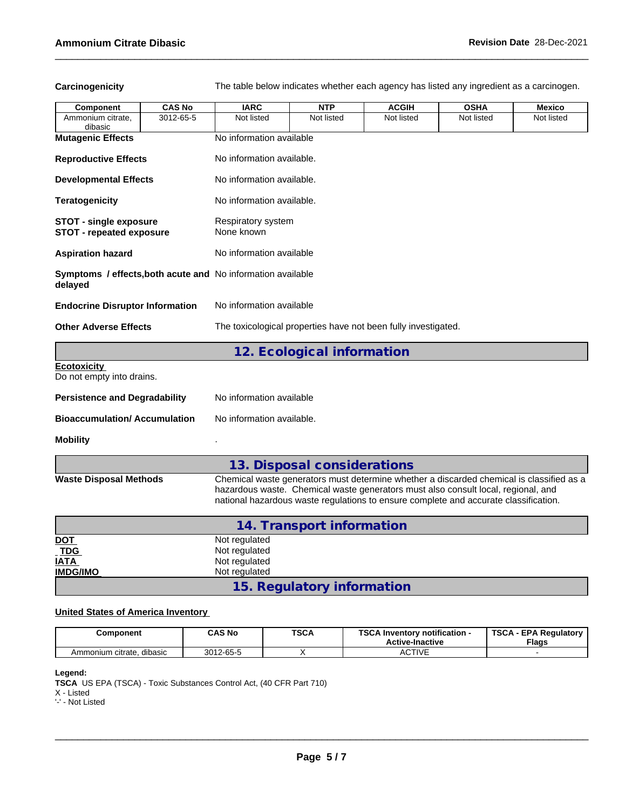Carcinogenicity The table below indicates whether each agency has listed any ingredient as a carcinogen.

| Component                                                        | <b>CAS No</b> | <b>IARC</b>                                                                                                                                               | <b>NTP</b>                  | <b>ACGIH</b> | <b>OSHA</b>                                                                                                                                                                                                                                                           | <b>Mexico</b> |  |  |
|------------------------------------------------------------------|---------------|-----------------------------------------------------------------------------------------------------------------------------------------------------------|-----------------------------|--------------|-----------------------------------------------------------------------------------------------------------------------------------------------------------------------------------------------------------------------------------------------------------------------|---------------|--|--|
| Ammonium citrate.<br>dibasic                                     | 3012-65-5     | Not listed                                                                                                                                                | Not listed                  | Not listed   | Not listed                                                                                                                                                                                                                                                            | Not listed    |  |  |
| <b>Mutagenic Effects</b>                                         |               | No information available                                                                                                                                  |                             |              |                                                                                                                                                                                                                                                                       |               |  |  |
| <b>Reproductive Effects</b>                                      |               | No information available.                                                                                                                                 |                             |              |                                                                                                                                                                                                                                                                       |               |  |  |
| <b>Developmental Effects</b>                                     |               | No information available.                                                                                                                                 |                             |              |                                                                                                                                                                                                                                                                       |               |  |  |
| <b>Teratogenicity</b>                                            |               | No information available.<br>Respiratory system<br>None known                                                                                             |                             |              |                                                                                                                                                                                                                                                                       |               |  |  |
| <b>STOT - single exposure</b><br><b>STOT - repeated exposure</b> |               |                                                                                                                                                           |                             |              |                                                                                                                                                                                                                                                                       |               |  |  |
| <b>Aspiration hazard</b>                                         |               | No information available                                                                                                                                  |                             |              |                                                                                                                                                                                                                                                                       |               |  |  |
| delayed                                                          |               | Symptoms / effects, both acute and No information available<br>No information available<br>The toxicological properties have not been fully investigated. |                             |              |                                                                                                                                                                                                                                                                       |               |  |  |
| <b>Endocrine Disruptor Information</b>                           |               |                                                                                                                                                           |                             |              |                                                                                                                                                                                                                                                                       |               |  |  |
| <b>Other Adverse Effects</b>                                     |               |                                                                                                                                                           |                             |              |                                                                                                                                                                                                                                                                       |               |  |  |
|                                                                  |               |                                                                                                                                                           | 12. Ecological information  |              |                                                                                                                                                                                                                                                                       |               |  |  |
| <b>Ecotoxicity</b><br>Do not empty into drains.                  |               |                                                                                                                                                           |                             |              |                                                                                                                                                                                                                                                                       |               |  |  |
| <b>Persistence and Degradability</b>                             |               | No information available                                                                                                                                  |                             |              |                                                                                                                                                                                                                                                                       |               |  |  |
| <b>Bioaccumulation/Accumulation</b>                              |               | No information available.                                                                                                                                 |                             |              |                                                                                                                                                                                                                                                                       |               |  |  |
| <b>Mobility</b>                                                  |               |                                                                                                                                                           |                             |              |                                                                                                                                                                                                                                                                       |               |  |  |
|                                                                  |               |                                                                                                                                                           | 13. Disposal considerations |              |                                                                                                                                                                                                                                                                       |               |  |  |
| <b>Waste Disposal Methods</b>                                    |               |                                                                                                                                                           |                             |              | Chemical waste generators must determine whether a discarded chemical is classified as a<br>hazardous waste. Chemical waste generators must also consult local, regional, and<br>national hazardous waste regulations to ensure complete and accurate classification. |               |  |  |
|                                                                  |               |                                                                                                                                                           | 14. Transport information   |              |                                                                                                                                                                                                                                                                       |               |  |  |
| <b>DOT</b>                                                       |               | Not regulated                                                                                                                                             |                             |              |                                                                                                                                                                                                                                                                       |               |  |  |

|                                                         | 14. Transport information  |  |
|---------------------------------------------------------|----------------------------|--|
|                                                         | Not regulated              |  |
| $\frac{\underline{\text{NOT}}}{\underline{\text{TDG}}}$ | Not regulated              |  |
| <b>IATA</b>                                             | Not regulated              |  |
| <b>IMDG/IMO</b>                                         | Not regulated              |  |
|                                                         | 15. Regulatory information |  |

### **United States of America Inventory**

| Component                           | <b>CAS No</b>         | <b>TSCA</b><br>___ | TOO ALL<br><br>- Inventory notification ا<br><b>Active-Inactive</b> | TSCA<br><b>EPA Regulatory</b><br><b>Flags</b> |
|-------------------------------------|-----------------------|--------------------|---------------------------------------------------------------------|-----------------------------------------------|
| dibasic<br>citrate.<br>monium<br>ΑM | $12 - 65 - 5$<br>0010 |                    | $\cap$ TIV <sub>I</sub><br>vr                                       |                                               |

**Legend:**

**TSCA** US EPA (TSCA) - Toxic Substances Control Act, (40 CFR Part 710) X - Listed

'-' - Not Listed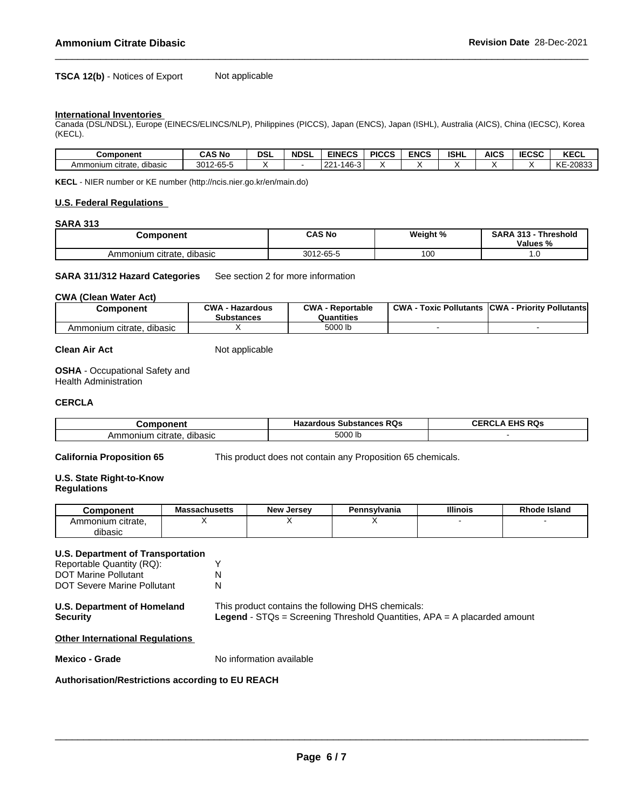### **TSCA 12(b)** - Notices of Export Not applicable

### **International Inventories**

Canada (DSL/NDSL), Europe (EINECS/ELINCS/NLP), Philippines (PICCS), Japan (ENCS), Japan (ISHL), Australia (AICS), China (IECSC), Korea (KECL).

| <b>Component</b>                   | <b>CAS No</b>                         | DSI | <b>NDSL</b> | <b>EINECS</b>                           | <b>PICCS</b> | <b>ENCS</b> | <b>ISHL</b> | <b>AICS</b> | IFABA<br>IEUJU | <b>KECL</b>                  |
|------------------------------------|---------------------------------------|-----|-------------|-----------------------------------------|--------------|-------------|-------------|-------------|----------------|------------------------------|
| <br>citrate<br>dibasic<br>Ammonium | 2012<br>2-65-<br><i>∟</i> ט∪<br>−ບບ−ບ |     |             | $\sim$<br>$\sim$<br>46<br>∠∠<br>᠇ᠣ<br>. |              |             |             |             |                | <b>IZE</b><br>-20833<br>™ N∟ |

**KECL** - NIER number or KE number (http://ncis.nier.go.kr/en/main.do)

### **U.S. Federal Regulations**

### **SARA 313**

| omponent                     | <b>CAS No</b>                           | Weight % | <b>SARA 313</b><br>Threshold |  |
|------------------------------|-----------------------------------------|----------|------------------------------|--|
|                              |                                         |          | <b>Values</b><br>- 70        |  |
| dibasic<br>Ammonium citrate. | $\sim$ $\sim$<br><b>0010</b><br>ה-כס ∠ו | 100      | $\cdot \cdot$                |  |

**SARA 311/312 Hazard Categories** See section 2 for more information

### **CWA** (Clean Water Act)

| Component                       | <b>CWA</b><br>· Hazardous<br>Substances | CWA<br>Reportable<br>Quantities | <b>CWA</b><br>· Pollutants<br>™охіс⊣ | <b>CWA - Priority Pollutants</b> |
|---------------------------------|-----------------------------------------|---------------------------------|--------------------------------------|----------------------------------|
| citrate.<br>dibasic<br>Ammonium |                                         | 5000 lb                         |                                      |                                  |

### **Clean Air Act** Not applicable

**OSHA** - Occupational Safety and Health Administration

### **CERCLA**

| --- --- ---                            | <b>Substances RQs</b><br>zardous<br>пa. | FIBA<br><br>н.<br>$\sim$ $\sim$ |
|----------------------------------------|-----------------------------------------|---------------------------------|
| dibasic<br>citrate<br>าเนท<br>nor<br>┒ | 5000<br>.                               |                                 |

**California Proposition 65** This product does not contain any Proposition 65 chemicals.

### **U.S. State Right-to-Know Regulations**

| Component                  | Massachusetts | Jersev<br>New | Pennsylvania | <b>Illinois</b> | <b>Rhode Island</b> |
|----------------------------|---------------|---------------|--------------|-----------------|---------------------|
| าmonium<br>⊦citrate.<br>Am |               |               |              |                 |                     |
| dibasic                    |               |               |              |                 |                     |

### **U.S. Department of Transportation**

| Reportable Quantity (RQ):          |   |
|------------------------------------|---|
| <b>DOT Marine Pollutant</b>        | N |
| <b>DOT Severe Marine Pollutant</b> | N |

| <b>U.S. Department of Homeland</b> | This product contains the following DHS chemicals:                                  |
|------------------------------------|-------------------------------------------------------------------------------------|
| <b>Security</b>                    | <b>Legend</b> - $STQs =$ Screening Threshold Quantities, $APA = A$ placarded amount |

### **Other International Regulations**

**Mexico - Grade** No information available

### **Authorisation/Restrictions according to EU REACH**